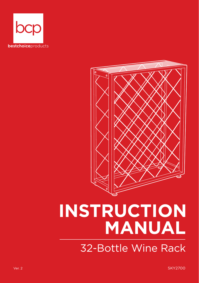



# **INSTRUCTION MANUAL**

32-Bottle Wine Rack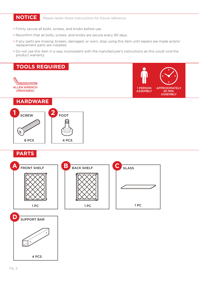**NOTICE** Please retain these instructions for future reference.

- Firmly secure all bolts, screws, and knobs before use.
- Reconfirm that all bolts, screws, and knobs are secure every 90 days.
- If any parts are missing, broken, damaged, or worn, stop using this item until repairs are made and/or replacement parts are installed.
- Do not use this item in a way inconsistent with the manufacturer's instructions as this could void the product warranty.







**PARTS**

O.

8 PCS



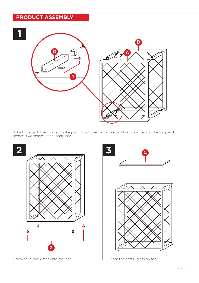### **PRODUCT ASSEMBLY**



Attach the part A front shelf to the part B back shelf with four part D support bars and eight part 1 screws, two screws per support bar.



Screw four part 2 feet onto the legs. Place the part C glass on top.